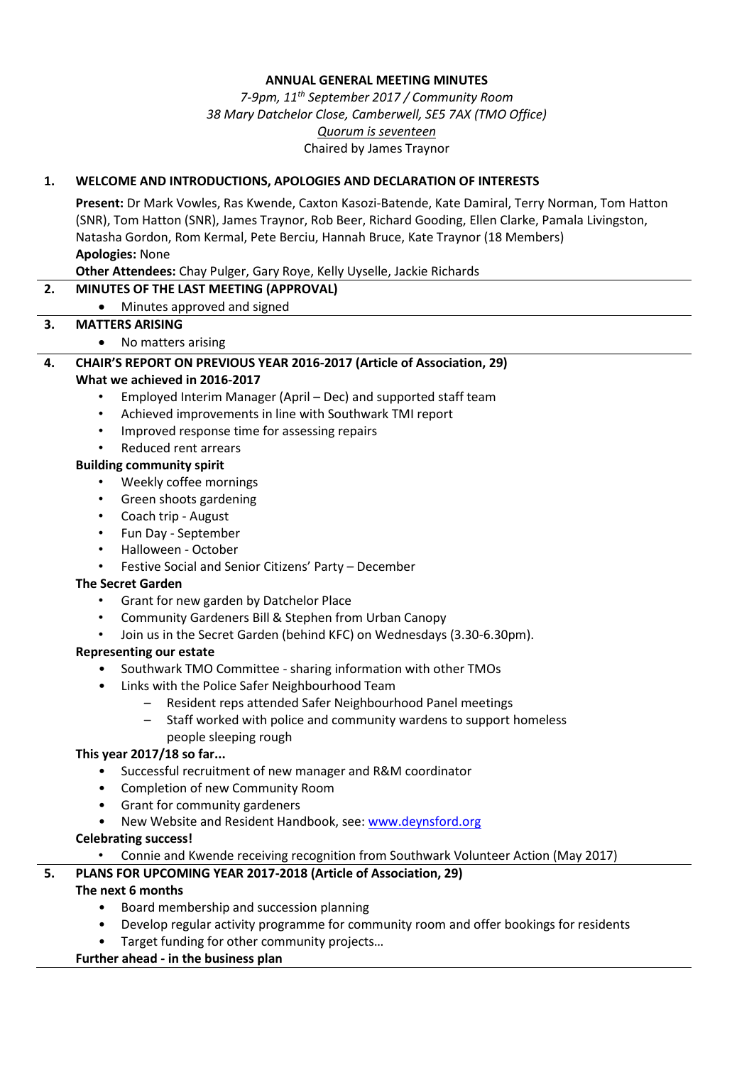#### **ANNUAL GENERAL MEETING MINUTES**

## *7-9pm, 11 th September 2017 / Community Room 38 Mary Datchelor Close, Camberwell, SE5 7AX (TMO Office) Quorum is seventeen* Chaired by James Traynor

### **1. WELCOME AND INTRODUCTIONS, APOLOGIES AND DECLARATION OF INTERESTS**

**Present:** Dr Mark Vowles, Ras Kwende, Caxton Kasozi-Batende, Kate Damiral, Terry Norman, Tom Hatton (SNR), Tom Hatton (SNR), James Traynor, Rob Beer, Richard Gooding, Ellen Clarke, Pamala Livingston, Natasha Gordon, Rom Kermal, Pete Berciu, Hannah Bruce, Kate Traynor (18 Members) **Apologies:** None

**Other Attendees:** Chay Pulger, Gary Roye, Kelly Uyselle, Jackie Richards

### **2. MINUTES OF THE LAST MEETING (APPROVAL)**

• Minutes approved and signed

### **3. MATTERS ARISING**

• No matters arising

### **4. CHAIR'S REPORT ON PREVIOUS YEAR 2016-2017 (Article of Association, 29)**

#### **What we achieved in 2016-2017**

- Employed Interim Manager (April Dec) and supported staff team
- Achieved improvements in line with Southwark TMI report
- Improved response time for assessing repairs
- Reduced rent arrears

#### **Building community spirit**

- Weekly coffee mornings
- Green shoots gardening
- Coach trip August
- Fun Day September
- Halloween October
- Festive Social and Senior Citizens' Party December

#### **The Secret Garden**

- Grant for new garden by Datchelor Place
- Community Gardeners Bill & Stephen from Urban Canopy
- Join us in the Secret Garden (behind KFC) on Wednesdays (3.30-6.30pm).

#### **Representing our estate**

- Southwark TMO Committee sharing information with other TMOs
- Links with the Police Safer Neighbourhood Team
	- Resident reps attended Safer Neighbourhood Panel meetings
	- Staff worked with police and community wardens to support homeless people sleeping rough

### **This year 2017/18 so far...**

- Successful recruitment of new manager and R&M coordinator
- Completion of new Community Room
- Grant for community gardeners
- New Website and Resident Handbook, see: [www.deynsford.org](http://www.deynsford.org/)

## **Celebrating success!**

• Connie and Kwende receiving recognition from Southwark Volunteer Action (May 2017)

## **5. PLANS FOR UPCOMING YEAR 2017-2018 (Article of Association, 29)**

## **The next 6 months**

- Board membership and succession planning
- Develop regular activity programme for community room and offer bookings for residents
- Target funding for other community projects…

#### **Further ahead - in the business plan**